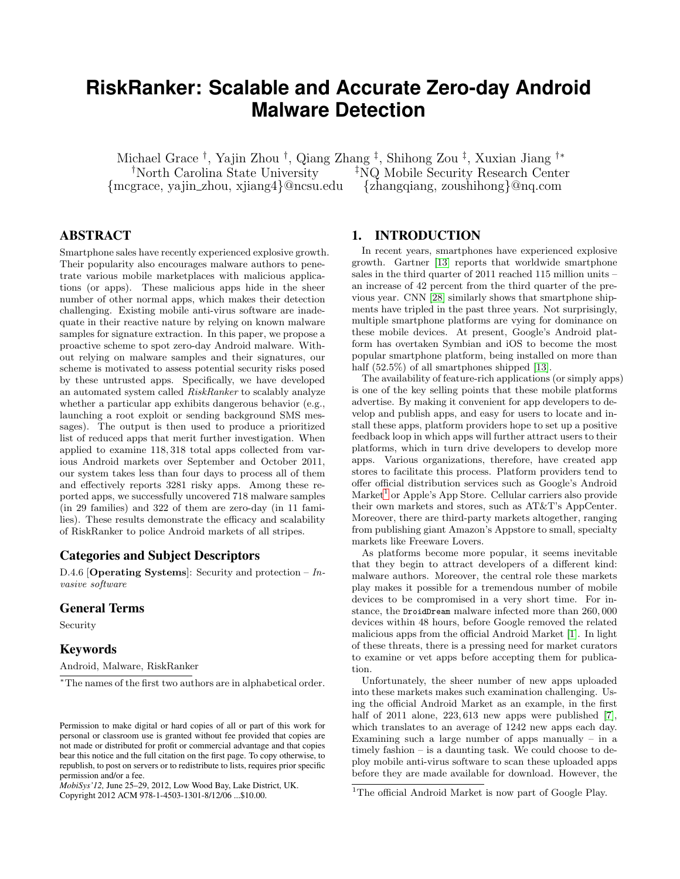# **RiskRanker: Scalable and Accurate Zero-day Android Malware Detection**

Michael Grace <sup>†</sup>, Yajin Zhou <sup>†</sup>, Qiang Zhang <sup>‡</sup>, Shihong Zou <sup>‡</sup>, Xuxian Jiang <sup>†\*</sup>

 ${megrace, vajin_zhou, xjiang4}@ncsu.edu$ 

<sup>†</sup>North Carolina State University <sup>†</sup>NQ Mobile Security Research Center grace, yajin\_zhou, xjiang4}@ncsu.edu {zhangqiang, zoushihong}@nq.com

# **ABSTRACT**

Smartphone sales have recently experienced explosive growth. Their popularity also encourages malware authors to penetrate various mobile marketplaces with malicious applications (or apps). These malicious apps hide in the sheer number of other normal apps, which makes their detection challenging. Existing mobile anti-virus software are inadequate in their reactive nature by relying on known malware samples for signature extraction. In this paper, we propose a proactive scheme to spot zero-day Android malware. Without relying on malware samples and their signatures, our scheme is motivated to assess potential security risks posed by these untrusted apps. Specifically, we have developed an automated system called RiskRanker to scalably analyze whether a particular app exhibits dangerous behavior (e.g., launching a root exploit or sending background SMS messages). The output is then used to produce a prioritized list of reduced apps that merit further investigation. When applied to examine 118, 318 total apps collected from various Android markets over September and October 2011, our system takes less than four days to process all of them and effectively reports 3281 risky apps. Among these reported apps, we successfully uncovered 718 malware samples (in 29 families) and 322 of them are zero-day (in 11 families). These results demonstrate the efficacy and scalability of RiskRanker to police Android markets of all stripes.

# **Categories and Subject Descriptors**

D.4.6 [Operating Systems]: Security and protection – Invasive software

### **General Terms**

Security

### **Keywords**

Android, Malware, RiskRanker

<sup>∗</sup>The names of the first two authors are in alphabetical order.

*MobiSys'12,* June 25–29, 2012, Low Wood Bay, Lake District, UK. Copyright 2012 ACM 978-1-4503-1301-8/12/06 ...\$10.00.

## **1. INTRODUCTION**

In recent years, smartphones have experienced explosive growth. Gartner [\[13\]](#page-10-0) reports that worldwide smartphone sales in the third quarter of 2011 reached 115 million units – an increase of 42 percent from the third quarter of the previous year. CNN [\[28\]](#page-11-0) similarly shows that smartphone shipments have tripled in the past three years. Not surprisingly, multiple smartphone platforms are vying for dominance on these mobile devices. At present, Google's Android platform has overtaken Symbian and iOS to become the most popular smartphone platform, being installed on more than half (52.5%) of all smartphones shipped [\[13\]](#page-10-0).

The availability of feature-rich applications (or simply apps) is one of the key selling points that these mobile platforms advertise. By making it convenient for app developers to develop and publish apps, and easy for users to locate and install these apps, platform providers hope to set up a positive feedback loop in which apps will further attract users to their platforms, which in turn drive developers to develop more apps. Various organizations, therefore, have created app stores to facilitate this process. Platform providers tend to offer official distribution services such as Google's Android Market<sup>[1](#page-0-0)</sup> or Apple's App Store. Cellular carriers also provide their own markets and stores, such as AT&T's AppCenter. Moreover, there are third-party markets altogether, ranging from publishing giant Amazon's Appstore to small, specialty markets like Freeware Lovers.

As platforms become more popular, it seems inevitable that they begin to attract developers of a different kind: malware authors. Moreover, the central role these markets play makes it possible for a tremendous number of mobile devices to be compromised in a very short time. For instance, the DroidDream malware infected more than 260, 000 devices within 48 hours, before Google removed the related malicious apps from the official Android Market [\[1\]](#page-10-1). In light of these threats, there is a pressing need for market curators to examine or vet apps before accepting them for publication.

Unfortunately, the sheer number of new apps uploaded into these markets makes such examination challenging. Using the official Android Market as an example, in the first half of 2011 alone, 223, 613 new apps were published [\[7\]](#page-10-2), which translates to an average of 1242 new apps each day. Examining such a large number of apps manually  $-$  in a timely fashion – is a daunting task. We could choose to deploy mobile anti-virus software to scan these uploaded apps before they are made available for download. However, the

Permission to make digital or hard copies of all or part of this work for personal or classroom use is granted without fee provided that copies are not made or distributed for profit or commercial advantage and that copies bear this notice and the full citation on the first page. To copy otherwise, to republish, to post on servers or to redistribute to lists, requires prior specific permission and/or a fee.

<span id="page-0-0"></span><sup>&</sup>lt;sup>1</sup>The official Android Market is now part of Google Play.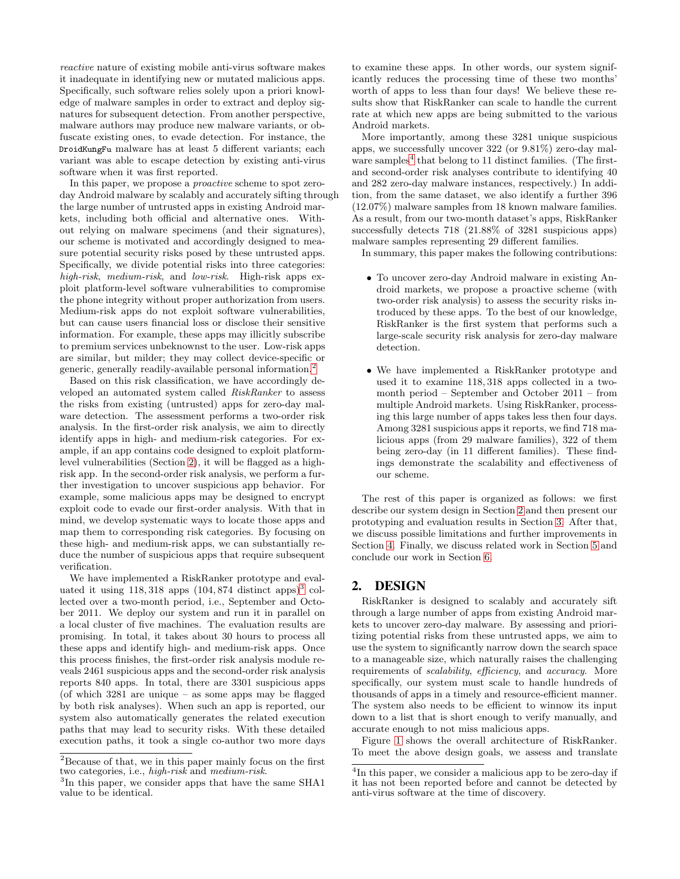reactive nature of existing mobile anti-virus software makes it inadequate in identifying new or mutated malicious apps. Specifically, such software relies solely upon a priori knowledge of malware samples in order to extract and deploy signatures for subsequent detection. From another perspective, malware authors may produce new malware variants, or obfuscate existing ones, to evade detection. For instance, the DroidKungFu malware has at least 5 different variants; each apps, we successfully uncover 322 (or 9.81%) zero-day malvariant was able to escape detection by existing anti-virus software when it was first reported.

In this paper, we propose a proactive scheme to spot zeroday Android malware by scalably and accurately sifting through the large number of untrusted apps in existing Android markets, including both official and alternative ones. Without relying on malware specimens (and their signatures), our scheme is motivated and accordingly designed to measure potential security risks posed by these untrusted apps. Specifically, we divide potential risks into three categories: high-risk, medium-risk, and low-risk. High-risk apps exploit platform-level software vulnerabilities to compromise the phone integrity without proper authorization from users. Medium-risk apps do not exploit software vulnerabilities, but can cause users financial loss or disclose their sensitive information. For example, these apps may illicitly subscribe to premium services unbeknownst to the user. Low-risk apps are similar, but milder; they may collect device-specific or generic, generally readily-available personal information.[2](#page-1-0)

Based on this risk classification, we have accordingly developed an automated system called RiskRanker to assess the risks from existing (untrusted) apps for zero-day malware detection. The assessment performs a two-order risk analysis. In the first-order risk analysis, we aim to directly identify apps in high- and medium-risk categories. For example, if an app contains code designed to exploit platformlevel vulnerabilities (Section [2\)](#page-1-1), it will be flagged as a highrisk app. In the second-order risk analysis, we perform a further investigation to uncover suspicious app behavior. For example, some malicious apps may be designed to encrypt exploit code to evade our first-order analysis. With that in mind, we develop systematic ways to locate those apps and map them to corresponding risk categories. By focusing on these high- and medium-risk apps, we can substantially reduce the number of suspicious apps that require subsequent verification.

We have implemented a RiskRanker prototype and evaluated it using  $118,318$  $118,318$  $118,318$  apps  $(104,874 \text{ distinct apps})^3$  collected over a two-month period, i.e., September and October 2011. We deploy our system and run it in parallel on a local cluster of five machines. The evaluation results are promising. In total, it takes about 30 hours to process all these apps and identify high- and medium-risk apps. Once this process finishes, the first-order risk analysis module reveals 2461 suspicious apps and the second-order risk analysis reports 840 apps. In total, there are 3301 suspicious apps (of which 3281 are unique – as some apps may be flagged by both risk analyses). When such an app is reported, our system also automatically generates the related execution paths that may lead to security risks. With these detailed execution paths, it took a single co-author two more days

to examine these apps. In other words, our system significantly reduces the processing time of these two months' worth of apps to less than four days! We believe these results show that RiskRanker can scale to handle the current rate at which new apps are being submitted to the various Android markets.

More importantly, among these 3281 unique suspicious ware samples<sup>[4](#page-1-3)</sup> that belong to 11 distinct families. (The firstand second-order risk analyses contribute to identifying 40 and 282 zero-day malware instances, respectively.) In addition, from the same dataset, we also identify a further 396 (12.07%) malware samples from 18 known malware families. As a result, from our two-month dataset's apps, RiskRanker successfully detects 718 (21.88% of 3281 suspicious apps) malware samples representing 29 different families.

In summary, this paper makes the following contributions:

- To uncover zero-day Android malware in existing Android markets, we propose a proactive scheme (with two-order risk analysis) to assess the security risks introduced by these apps. To the best of our knowledge, RiskRanker is the first system that performs such a large-scale security risk analysis for zero-day malware detection.
- We have implemented a RiskRanker prototype and used it to examine 118, 318 apps collected in a twomonth period – September and October 2011 – from multiple Android markets. Using RiskRanker, processing this large number of apps takes less then four days. Among 3281 suspicious apps it reports, we find 718 malicious apps (from 29 malware families), 322 of them being zero-day (in 11 different families). These findings demonstrate the scalability and effectiveness of our scheme.

The rest of this paper is organized as follows: we first describe our system design in Section [2](#page-1-1) and then present our prototyping and evaluation results in Section [3.](#page-5-0) After that, we discuss possible limitations and further improvements in Section [4.](#page-8-0) Finally, we discuss related work in Section [5](#page-9-0) and conclude our work in Section [6.](#page-10-3)

# <span id="page-1-1"></span>**2. DESIGN**

RiskRanker is designed to scalably and accurately sift through a large number of apps from existing Android markets to uncover zero-day malware. By assessing and prioritizing potential risks from these untrusted apps, we aim to use the system to significantly narrow down the search space to a manageable size, which naturally raises the challenging requirements of scalability, efficiency, and accuracy. More specifically, our system must scale to handle hundreds of thousands of apps in a timely and resource-efficient manner. The system also needs to be efficient to winnow its input down to a list that is short enough to verify manually, and accurate enough to not miss malicious apps.

Figure [1](#page-2-0) shows the overall architecture of RiskRanker. To meet the above design goals, we assess and translate

<sup>2</sup>Because of that, we in this paper mainly focus on the first two categories, i.e., high-risk and medium-risk.

<span id="page-1-2"></span><span id="page-1-0"></span><sup>&</sup>lt;sup>3</sup>In this paper, we consider apps that have the same SHA1 value to be identical.

<span id="page-1-3"></span><sup>&</sup>lt;sup>4</sup>In this paper, we consider a malicious app to be zero-day if it has not been reported before and cannot be detected by anti-virus software at the time of discovery.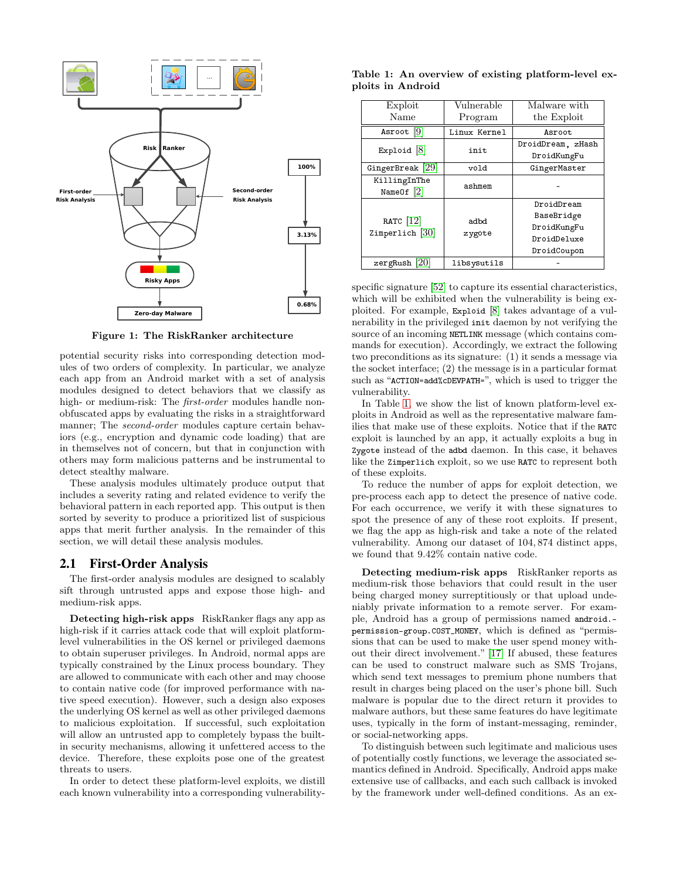

Figure 1: The RiskRanker architecture

<span id="page-2-0"></span>potential security risks into corresponding detection modules of two orders of complexity. In particular, we analyze each app from an Android market with a set of analysis modules designed to detect behaviors that we classify as high- or medium-risk: The *first-order* modules handle nonobfuscated apps by evaluating the risks in a straightforward manner: The *second-order* modules capture certain behaviors (e.g., encryption and dynamic code loading) that are in themselves not of concern, but that in conjunction with others may form malicious patterns and be instrumental to detect stealthy malware.

These analysis modules ultimately produce output that includes a severity rating and related evidence to verify the behavioral pattern in each reported app. This output is then sorted by severity to produce a prioritized list of suspicious apps that merit further analysis. In the remainder of this section, we will detail these analysis modules.

### **2.1 First-Order Analysis**

The first-order analysis modules are designed to scalably sift through untrusted apps and expose those high- and medium-risk apps.

Detecting high-risk apps RiskRanker flags any app as high-risk if it carries attack code that will exploit platformlevel vulnerabilities in the OS kernel or privileged daemons to obtain superuser privileges. In Android, normal apps are typically constrained by the Linux process boundary. They are allowed to communicate with each other and may choose to contain native code (for improved performance with native speed execution). However, such a design also exposes the underlying OS kernel as well as other privileged daemons to malicious exploitation. If successful, such exploitation will allow an untrusted app to completely bypass the builtin security mechanisms, allowing it unfettered access to the device. Therefore, these exploits pose one of the greatest threats to users.

In order to detect these platform-level exploits, we distill each known vulnerability into a corresponding vulnerability-

<span id="page-2-1"></span>

|                   | Table 1: An overview of existing platform-level ex- |  |
|-------------------|-----------------------------------------------------|--|
| ploits in Android |                                                     |  |

| Exploit                          | Vulnerable     | Malware with                                                          |
|----------------------------------|----------------|-----------------------------------------------------------------------|
| Name                             | Program        | the Exploit                                                           |
| Asroot $[9]$                     | Linux Kernel   | Asroot                                                                |
| Exploid $[8]$                    | init           | DroidDream, zHash<br>DroidKungFu                                      |
| $GingerBreak$ [29]               | vold           | GingerMaster                                                          |
| KillingInThe<br>NameOf $[2]$     | ashmem         | $\overline{\phantom{0}}$                                              |
| RATC $[12]$<br>Zimperlich $[30]$ | adbd<br>zygote | DroidDream<br>BaseBridge<br>DroidKungFu<br>DroidDeluxe<br>DroidCoupon |
| zergRush $[20]$                  | libsysutils    | $\overline{\phantom{0}}$                                              |

specific signature [\[52\]](#page-12-0) to capture its essential characteristics, which will be exhibited when the vulnerability is being exploited. For example, Exploid [\[8\]](#page-10-5) takes advantage of a vulnerability in the privileged init daemon by not verifying the source of an incoming NETLINK message (which contains commands for execution). Accordingly, we extract the following two preconditions as its signature: (1) it sends a message via the socket interface; (2) the message is in a particular format such as "ACTION=add" cDEVPATH=", which is used to trigger the vulnerability.

In Table [1,](#page-2-1) we show the list of known platform-level exploits in Android as well as the representative malware families that make use of these exploits. Notice that if the RATC exploit is launched by an app, it actually exploits a bug in Zygote instead of the adbd daemon. In this case, it behaves like the Zimperlich exploit, so we use RATC to represent both of these exploits.

To reduce the number of apps for exploit detection, we pre-process each app to detect the presence of native code. For each occurrence, we verify it with these signatures to spot the presence of any of these root exploits. If present, we flag the app as high-risk and take a note of the related vulnerability. Among our dataset of 104, 874 distinct apps, we found that 9.42% contain native code.

Detecting medium-risk apps RiskRanker reports as medium-risk those behaviors that could result in the user being charged money surreptitiously or that upload undeniably private information to a remote server. For example, Android has a group of permissions named android. permission-group.COST\_MONEY, which is defined as "permissions that can be used to make the user spend money without their direct involvement." [\[17\]](#page-11-4) If abused, these features can be used to construct malware such as SMS Trojans, which send text messages to premium phone numbers that result in charges being placed on the user's phone bill. Such malware is popular due to the direct return it provides to malware authors, but these same features do have legitimate uses, typically in the form of instant-messaging, reminder, or social-networking apps.

To distinguish between such legitimate and malicious uses of potentially costly functions, we leverage the associated semantics defined in Android. Specifically, Android apps make extensive use of callbacks, and each such callback is invoked by the framework under well-defined conditions. As an ex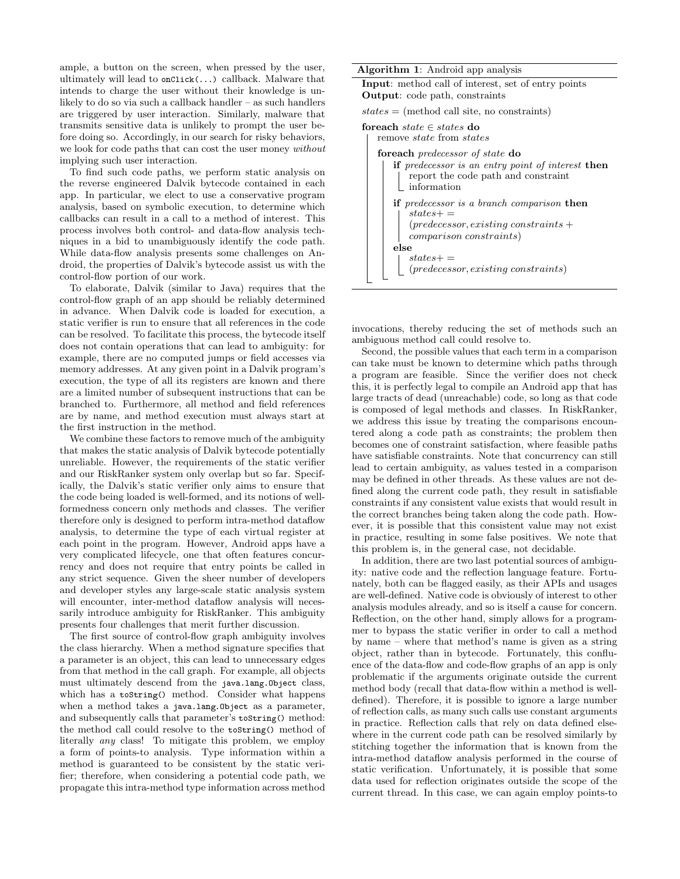ample, a button on the screen, when pressed by the user, ultimately will lead to onClick(...) callback. Malware that intends to charge the user without their knowledge is unlikely to do so via such a callback handler – as such handlers are triggered by user interaction. Similarly, malware that transmits sensitive data is unlikely to prompt the user before doing so. Accordingly, in our search for risky behaviors, we look for code paths that can cost the user money without implying such user interaction.

To find such code paths, we perform static analysis on the reverse engineered Dalvik bytecode contained in each app. In particular, we elect to use a conservative program analysis, based on symbolic execution, to determine which callbacks can result in a call to a method of interest. This process involves both control- and data-flow analysis techniques in a bid to unambiguously identify the code path. While data-flow analysis presents some challenges on Android, the properties of Dalvik's bytecode assist us with the control-flow portion of our work.

To elaborate, Dalvik (similar to Java) requires that the control-flow graph of an app should be reliably determined in advance. When Dalvik code is loaded for execution, a static verifier is run to ensure that all references in the code can be resolved. To facilitate this process, the bytecode itself does not contain operations that can lead to ambiguity: for example, there are no computed jumps or field accesses via memory addresses. At any given point in a Dalvik program's execution, the type of all its registers are known and there are a limited number of subsequent instructions that can be branched to. Furthermore, all method and field references are by name, and method execution must always start at the first instruction in the method.

We combine these factors to remove much of the ambiguity that makes the static analysis of Dalvik bytecode potentially unreliable. However, the requirements of the static verifier and our RiskRanker system only overlap but so far. Specifically, the Dalvik's static verifier only aims to ensure that the code being loaded is well-formed, and its notions of wellformedness concern only methods and classes. The verifier therefore only is designed to perform intra-method dataflow analysis, to determine the type of each virtual register at each point in the program. However, Android apps have a very complicated lifecycle, one that often features concurrency and does not require that entry points be called in any strict sequence. Given the sheer number of developers and developer styles any large-scale static analysis system will encounter, inter-method dataflow analysis will necessarily introduce ambiguity for RiskRanker. This ambiguity presents four challenges that merit further discussion.

The first source of control-flow graph ambiguity involves the class hierarchy. When a method signature specifies that a parameter is an object, this can lead to unnecessary edges from that method in the call graph. For example, all objects must ultimately descend from the java.lang.Obje
t class, which has a toString() method. Consider what happens when a method takes a java.lang.Obje
t as a parameter, and subsequently calls that parameter's toString() method: the method call could resolve to the toString() method of literally any class! To mitigate this problem, we employ a form of points-to analysis. Type information within a method is guaranteed to be consistent by the static verifier; therefore, when considering a potential code path, we propagate this intra-method type information across method

Algorithm 1: Android app analysis

Input: method call of interest, set of entry points Output: code path, constraints

 $states = (method \, call \, site, \, no \, constraints)$ 

#### foreach  $state \in states$  do remove state from states

# foreach predecessor of state do if predecessor is an entry point of interest then report the code path and constraint information if predecessor is a branch comparison then  $states +=$  $(predecessary, existing\ constraints +$ comparison constraints) else  $states +=$ (predecessor, existing constraints)

invocations, thereby reducing the set of methods such an ambiguous method call could resolve to.

Second, the possible values that each term in a comparison can take must be known to determine which paths through a program are feasible. Since the verifier does not check this, it is perfectly legal to compile an Android app that has large tracts of dead (unreachable) code, so long as that code is composed of legal methods and classes. In RiskRanker, we address this issue by treating the comparisons encountered along a code path as constraints; the problem then becomes one of constraint satisfaction, where feasible paths have satisfiable constraints. Note that concurrency can still lead to certain ambiguity, as values tested in a comparison may be defined in other threads. As these values are not defined along the current code path, they result in satisfiable constraints if any consistent value exists that would result in the correct branches being taken along the code path. However, it is possible that this consistent value may not exist in practice, resulting in some false positives. We note that this problem is, in the general case, not decidable.

<span id="page-3-0"></span>In addition, there are two last potential sources of ambiguity: native code and the reflection language feature. Fortunately, both can be flagged easily, as their APIs and usages are well-defined. Native code is obviously of interest to other analysis modules already, and so is itself a cause for concern. Reflection, on the other hand, simply allows for a programmer to bypass the static verifier in order to call a method by name – where that method's name is given as a string object, rather than in bytecode. Fortunately, this confluence of the data-flow and code-flow graphs of an app is only problematic if the arguments originate outside the current method body (recall that data-flow within a method is welldefined). Therefore, it is possible to ignore a large number of reflection calls, as many such calls use constant arguments in practice. Reflection calls that rely on data defined elsewhere in the current code path can be resolved similarly by stitching together the information that is known from the intra-method dataflow analysis performed in the course of static verification. Unfortunately, it is possible that some data used for reflection originates outside the scope of the current thread. In this case, we can again employ points-to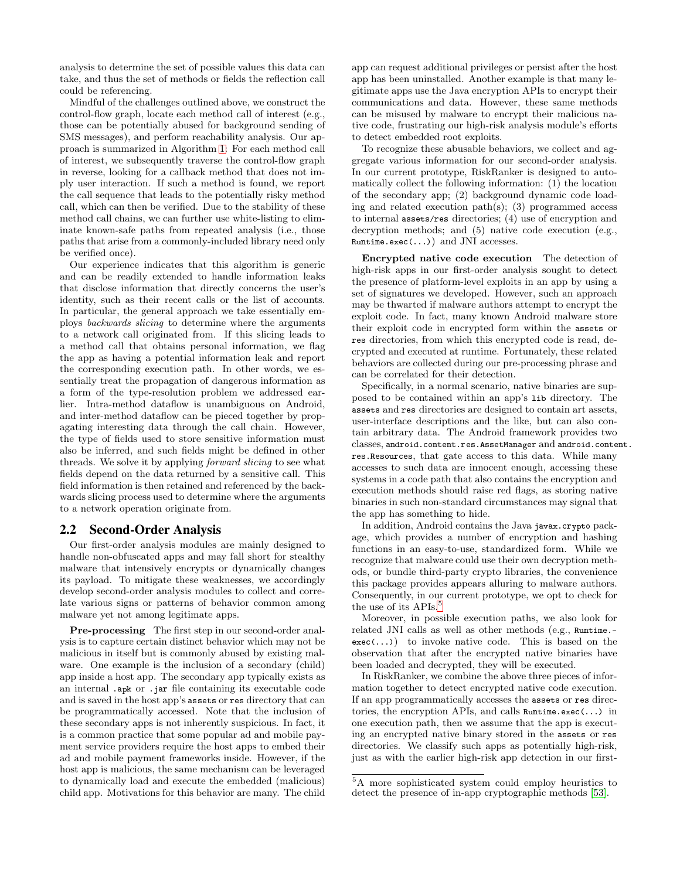analysis to determine the set of possible values this data can take, and thus the set of methods or fields the reflection call could be referencing.

Mindful of the challenges outlined above, we construct the control-flow graph, locate each method call of interest (e.g., those can be potentially abused for background sending of SMS messages), and perform reachability analysis. Our approach is summarized in Algorithm [1:](#page-3-0) For each method call of interest, we subsequently traverse the control-flow graph in reverse, looking for a callback method that does not imply user interaction. If such a method is found, we report the call sequence that leads to the potentially risky method call, which can then be verified. Due to the stability of these method call chains, we can further use white-listing to eliminate known-safe paths from repeated analysis (i.e., those paths that arise from a commonly-included library need only be verified once).

Our experience indicates that this algorithm is generic and can be readily extended to handle information leaks that disclose information that directly concerns the user's identity, such as their recent calls or the list of accounts. In particular, the general approach we take essentially employs backwards slicing to determine where the arguments to a network call originated from. If this slicing leads to a method call that obtains personal information, we flag the app as having a potential information leak and report the corresponding execution path. In other words, we essentially treat the propagation of dangerous information as a form of the type-resolution problem we addressed earlier. Intra-method dataflow is unambiguous on Android, and inter-method dataflow can be pieced together by propagating interesting data through the call chain. However, the type of fields used to store sensitive information must also be inferred, and such fields might be defined in other threads. We solve it by applying forward slicing to see what fields depend on the data returned by a sensitive call. This field information is then retained and referenced by the backwards slicing process used to determine where the arguments to a network operation originate from.

### **2.2 Second-Order Analysis**

Our first-order analysis modules are mainly designed to handle non-obfuscated apps and may fall short for stealthy malware that intensively encrypts or dynamically changes its payload. To mitigate these weaknesses, we accordingly develop second-order analysis modules to collect and correlate various signs or patterns of behavior common among malware yet not among legitimate apps.

Pre-processing The first step in our second-order analysis is to capture certain distinct behavior which may not be malicious in itself but is commonly abused by existing malware. One example is the inclusion of a secondary (child) app inside a host app. The secondary app typically exists as an internal .apk or .jar file containing its executable code mation together to detect encrypted native code execution. and is saved in the host app's assets or res directory that can If an app programmatically accesses the assets or res direcbe programmatically accessed. Note that the inclusion of these secondary apps is not inherently suspicious. In fact, it is a common practice that some popular ad and mobile payment service providers require the host apps to embed their ad and mobile payment frameworks inside. However, if the host app is malicious, the same mechanism can be leveraged to dynamically load and execute the embedded (malicious) child app. Motivations for this behavior are many. The child

app can request additional privileges or persist after the host app has been uninstalled. Another example is that many legitimate apps use the Java encryption APIs to encrypt their communications and data. However, these same methods can be misused by malware to encrypt their malicious native code, frustrating our high-risk analysis module's efforts to detect embedded root exploits.

To recognize these abusable behaviors, we collect and aggregate various information for our second-order analysis. In our current prototype, RiskRanker is designed to automatically collect the following information: (1) the location of the secondary app; (2) background dynamic code loading and related execution path(s); (3) programmed access to internal assets/res directories; (4) use of encryption and decryption methods; and (5) native code execution (e.g., Runtime.exe
(...)) and JNI accesses.

Encrypted native code execution The detection of high-risk apps in our first-order analysis sought to detect the presence of platform-level exploits in an app by using a set of signatures we developed. However, such an approach may be thwarted if malware authors attempt to encrypt the exploit code. In fact, many known Android malware store their exploit code in encrypted form within the assets or res directories, from which this encrypted code is read, decrypted and executed at runtime. Fortunately, these related behaviors are collected during our pre-processing phrase and can be correlated for their detection.

Specifically, in a normal scenario, native binaries are supposed to be contained within an app's lib directory. The assets and res directories are designed to contain art assets, user-interface descriptions and the like, but can also contain arbitrary data. The Android framework provides two classes, android.content.res. AssetManager and android.content. res.Resour
es, that gate access to this data. While many accesses to such data are innocent enough, accessing these systems in a code path that also contains the encryption and execution methods should raise red flags, as storing native binaries in such non-standard circumstances may signal that the app has something to hide.

In addition, Android contains the Java javax.crypto package, which provides a number of encryption and hashing functions in an easy-to-use, standardized form. While we recognize that malware could use their own decryption methods, or bundle third-party crypto libraries, the convenience this package provides appears alluring to malware authors. Consequently, in our current prototype, we opt to check for the use of its APIs.<sup>[5](#page-4-0)</sup>

Moreover, in possible execution paths, we also look for related JNI calls as well as other methods (e.g., Runtime. exe
(...)) to invoke native code. This is based on the observation that after the encrypted native binaries have been loaded and decrypted, they will be executed.

In RiskRanker, we combine the above three pieces of infortories, the encryption APIs, and calls Runtime.exe
(...) in one execution path, then we assume that the app is executing an encrypted native binary stored in the assets or res directories. We classify such apps as potentially high-risk, just as with the earlier high-risk app detection in our first-

<span id="page-4-0"></span><sup>5</sup>A more sophisticated system could employ heuristics to detect the presence of in-app cryptographic methods [\[53\]](#page-12-1).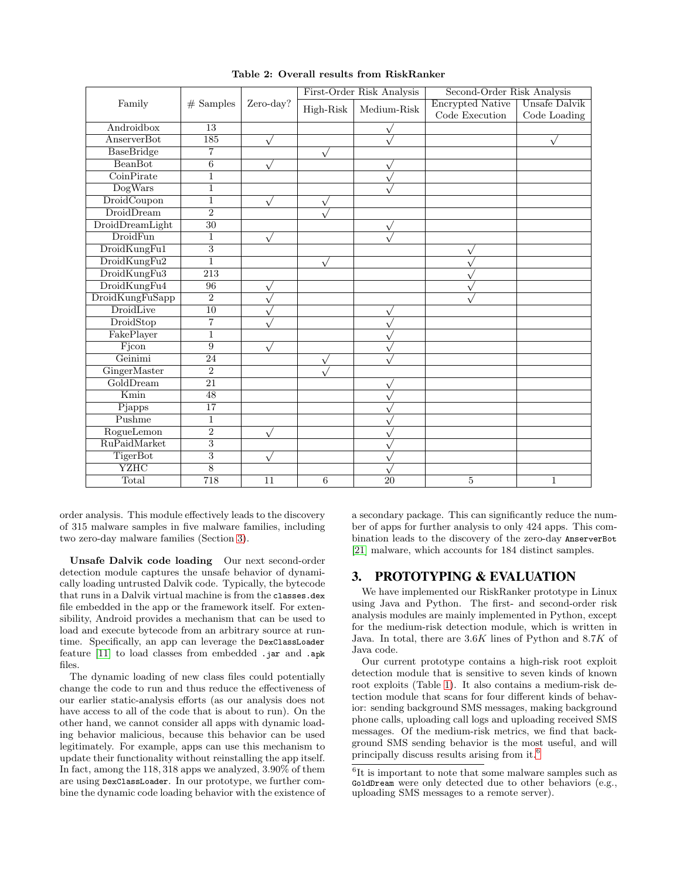|                          | $#$ Samples      | Zero-day? | First-Order Risk Analysis |                 | Second-Order Risk Analysis |                      |
|--------------------------|------------------|-----------|---------------------------|-----------------|----------------------------|----------------------|
| Family                   |                  |           | High-Risk                 | Medium-Risk     | <b>Encrypted Native</b>    | <b>Unsafe Dalvik</b> |
|                          |                  |           |                           |                 | Code Execution             | Code Loading         |
| Androidbox               | $\overline{13}$  |           |                           | $\mathbf v$     |                            |                      |
| <b>AnserverBot</b>       | 185              |           |                           |                 |                            |                      |
| BaseBridge               | $\overline{7}$   |           |                           |                 |                            |                      |
| <b>BeanBot</b>           | $6\overline{6}$  |           |                           |                 |                            |                      |
| CoinPirate               | $\mathbf{1}$     |           |                           | $\mathbf v$     |                            |                      |
| DogWars                  | $\mathbf{1}$     |           |                           |                 |                            |                      |
| DroidCoupon              | $\overline{1}$   |           | $\mathsf v$               |                 |                            |                      |
| DroidDream               | $\overline{2}$   |           |                           |                 |                            |                      |
| DroidDreamLight          | $\overline{30}$  |           |                           | $\sqrt{}$       |                            |                      |
| <b>DroidFun</b>          | $\mathbf{1}$     |           |                           |                 |                            |                      |
| DroidKungFu1             | $\overline{3}$   |           |                           |                 | v                          |                      |
| DroidKungFu2             | $\overline{1}$   |           |                           |                 |                            |                      |
| DroidKungFu3             | $\overline{213}$ |           |                           |                 |                            |                      |
| DroidKungFu4             | 96               | ν         |                           |                 |                            |                      |
| DroidKungFuSapp          | $\overline{2}$   |           |                           |                 |                            |                      |
| <b>DroidLive</b>         | 10               |           |                           | $\mathbf{v}$    |                            |                      |
| DroidStop                | $\overline{7}$   |           |                           | $\mathbf \nu$   |                            |                      |
| FakePlayer               | $\overline{1}$   |           |                           | $\mathbf{v}$    |                            |                      |
| Fjcon                    | 9                |           |                           | À               |                            |                      |
| Geinimi                  | $\overline{24}$  |           |                           |                 |                            |                      |
| GingerMaster             | $\overline{2}$   |           |                           |                 |                            |                      |
| GoldDream                | $\overline{21}$  |           |                           | $\sqrt{ }$      |                            |                      |
| $\overline{\text{Kmin}}$ | $\overline{48}$  |           |                           | $\mathbf{v}$    |                            |                      |
| Pjapps                   | $\overline{17}$  |           |                           |                 |                            |                      |
| Pushme                   | $\mathbf{1}$     |           |                           |                 |                            |                      |
| RogueLemon               | $\overline{2}$   |           |                           | $\mathbf v$     |                            |                      |
| RuPaidMarket             | $\overline{3}$   |           |                           |                 |                            |                      |
| TigerBot                 | $\overline{3}$   |           |                           |                 |                            |                      |
| YZHC                     | $\overline{8}$   |           |                           |                 |                            |                      |
| Total                    | 718              | 11        | 6                         | $\overline{20}$ | 5                          | 1                    |

### <span id="page-5-2"></span>Table 2: Overall results from RiskRanker

order analysis. This module effectively leads to the discovery of 315 malware samples in five malware families, including two zero-day malware families (Section [3\)](#page-5-0).

Unsafe Dalvik code loading Our next second-order detection module captures the unsafe behavior of dynamically loading untrusted Dalvik code. Typically, the bytecode that runs in a Dalvik virtual machine is from the lasses.dex file embedded in the app or the framework itself. For extensibility, Android provides a mechanism that can be used to load and execute bytecode from an arbitrary source at runtime. Specifically, an app can leverage the DexClassLoader feature [\[11\]](#page-10-8) to load classes from embedded .jar and .apk files.

The dynamic loading of new class files could potentially change the code to run and thus reduce the effectiveness of our earlier static-analysis efforts (as our analysis does not have access to all of the code that is about to run). On the other hand, we cannot consider all apps with dynamic loading behavior malicious, because this behavior can be used legitimately. For example, apps can use this mechanism to update their functionality without reinstalling the app itself. In fact, among the 118, 318 apps we analyzed, 3.90% of them are using DexClassLoader. In our prototype, we further combine the dynamic code loading behavior with the existence of a secondary package. This can significantly reduce the number of apps for further analysis to only 424 apps. This combination leads to the discovery of the zero-day AnserverBot [\[21\]](#page-11-5) malware, which accounts for 184 distinct samples.

# <span id="page-5-0"></span>**3. PROTOTYPING & EVALUATION**

We have implemented our RiskRanker prototype in Linux using Java and Python. The first- and second-order risk analysis modules are mainly implemented in Python, except for the medium-risk detection module, which is written in Java. In total, there are 3.6K lines of Python and 8.7K of Java code.

Our current prototype contains a high-risk root exploit detection module that is sensitive to seven kinds of known root exploits (Table [1\)](#page-2-1). It also contains a medium-risk detection module that scans for four different kinds of behavior: sending background SMS messages, making background phone calls, uploading call logs and uploading received SMS messages. Of the medium-risk metrics, we find that background SMS sending behavior is the most useful, and will principally discuss results arising from it.[6](#page-5-1)

<span id="page-5-1"></span><sup>&</sup>lt;sup>6</sup>It is important to note that some malware samples such as GoldDream were only detected due to other behaviors (e.g., uploading SMS messages to a remote server).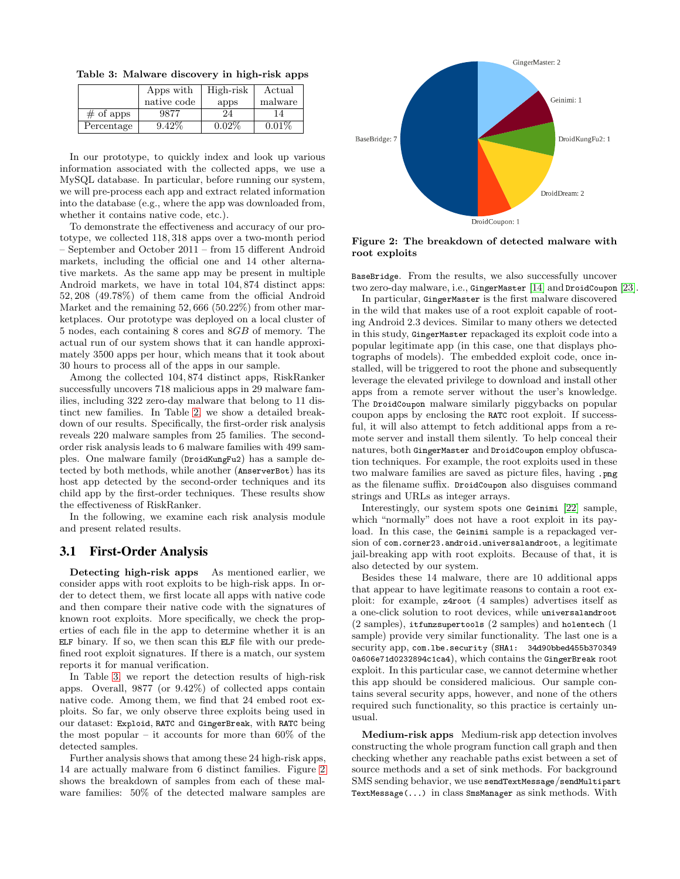<span id="page-6-0"></span>Table 3: Malware discovery in high-risk apps

|             | Apps with   | High-risk | Actual   |
|-------------|-------------|-----------|----------|
|             | native code | apps      | malware  |
| $#$ of apps | 9877        | 24        | 14       |
| Percentage  | $9.42\%$    | $0.02\%$  | $0.01\%$ |

In our prototype, to quickly index and look up various information associated with the collected apps, we use a MySQL database. In particular, before running our system, we will pre-process each app and extract related information into the database (e.g., where the app was downloaded from, whether it contains native code, etc.).

To demonstrate the effectiveness and accuracy of our prototype, we collected 118, 318 apps over a two-month period – September and October 2011 – from 15 different Android markets, including the official one and 14 other alternative markets. As the same app may be present in multiple Android markets, we have in total 104, 874 distinct apps: 52, 208 (49.78%) of them came from the official Android Market and the remaining 52,666 (50.22%) from other marketplaces. Our prototype was deployed on a local cluster of 5 nodes, each containing 8 cores and 8GB of memory. The actual run of our system shows that it can handle approximately 3500 apps per hour, which means that it took about 30 hours to process all of the apps in our sample.

Among the collected 104, 874 distinct apps, RiskRanker successfully uncovers 718 malicious apps in 29 malware families, including 322 zero-day malware that belong to 11 distinct new families. In Table [2,](#page-5-2) we show a detailed breakdown of our results. Specifically, the first-order risk analysis reveals 220 malware samples from 25 families. The secondorder risk analysis leads to 6 malware families with 499 samples. One malware family (DroidKungFu2) has a sample detected by both methods, while another (AnserverBot) has its host app detected by the second-order techniques and its child app by the first-order techniques. These results show the effectiveness of RiskRanker.

In the following, we examine each risk analysis module and present related results.

### **3.1 First-Order Analysis**

Detecting high-risk apps As mentioned earlier, we consider apps with root exploits to be high-risk apps. In order to detect them, we first locate all apps with native code and then compare their native code with the signatures of known root exploits. More specifically, we check the properties of each file in the app to determine whether it is an ELF binary. If so, we then scan this ELF file with our predefined root exploit signatures. If there is a match, our system reports it for manual verification.

In Table [3,](#page-6-0) we report the detection results of high-risk apps. Overall, 9877 (or 9.42%) of collected apps contain native code. Among them, we find that 24 embed root exploits. So far, we only observe three exploits being used in our dataset: Exploid, RATC and GingerBreak, with RATC being the most popular – it accounts for more than  $60\%$  of the detected samples.

Further analysis shows that among these 24 high-risk apps, 14 are actually malware from 6 distinct families. Figure [2](#page-6-1) shows the breakdown of samples from each of these malware families: 50% of the detected malware samples are



<span id="page-6-1"></span>Figure 2: The breakdown of detected malware with root exploits

BaseBridge. From the results, we also successfully uncover two zero-day malware, i.e., GingerMaster [\[14\]](#page-10-9) and DroidCoupon [\[23\]](#page-11-6).

In particular, GingerMaster is the first malware discovered in the wild that makes use of a root exploit capable of rooting Android 2.3 devices. Similar to many others we detected in this study, GingerMaster repackaged its exploit code into a popular legitimate app (in this case, one that displays photographs of models). The embedded exploit code, once installed, will be triggered to root the phone and subsequently leverage the elevated privilege to download and install other apps from a remote server without the user's knowledge. The DroidCoupon malware similarly piggybacks on popular coupon apps by enclosing the RATC root exploit. If successful, it will also attempt to fetch additional apps from a remote server and install them silently. To help conceal their natures, both GingerMaster and DroidCoupon employ obfuscation techniques. For example, the root exploits used in these two malware families are saved as picture files, having .png as the filename suffix. DroidCoupon also disguises command strings and URLs as integer arrays.

Interestingly, our system spots one Geinimi [\[22\]](#page-11-7) sample, which "normally" does not have a root exploit in its payload. In this case, the Geinimi sample is a repackaged version of com.corner23.android.universalandroot, a legitimate jail-breaking app with root exploits. Because of that, it is also detected by our system.

Besides these 14 malware, there are 10 additional apps that appear to have legitimate reasons to contain a root exploit: for example, z4root (4 samples) advertises itself as a one-click solution to root devices, while universalandroot (2 samples), itfunzsupertools (2 samples) and holente
h (1 sample) provide very similar functionality. The last one is a security app, com. lbe. security (SHA1: 34d90bbed455b370349 0a606e71d0232894c1ca4), which contains the GingerBreak root exploit. In this particular case, we cannot determine whether this app should be considered malicious. Our sample contains several security apps, however, and none of the others required such functionality, so this practice is certainly unusual.

Medium-risk apps Medium-risk app detection involves constructing the whole program function call graph and then checking whether any reachable paths exist between a set of source methods and a set of sink methods. For background SMS sending behavior, we use sendTextMessage/sendMultipart TextMessage(...) in class SmsManager as sink methods. With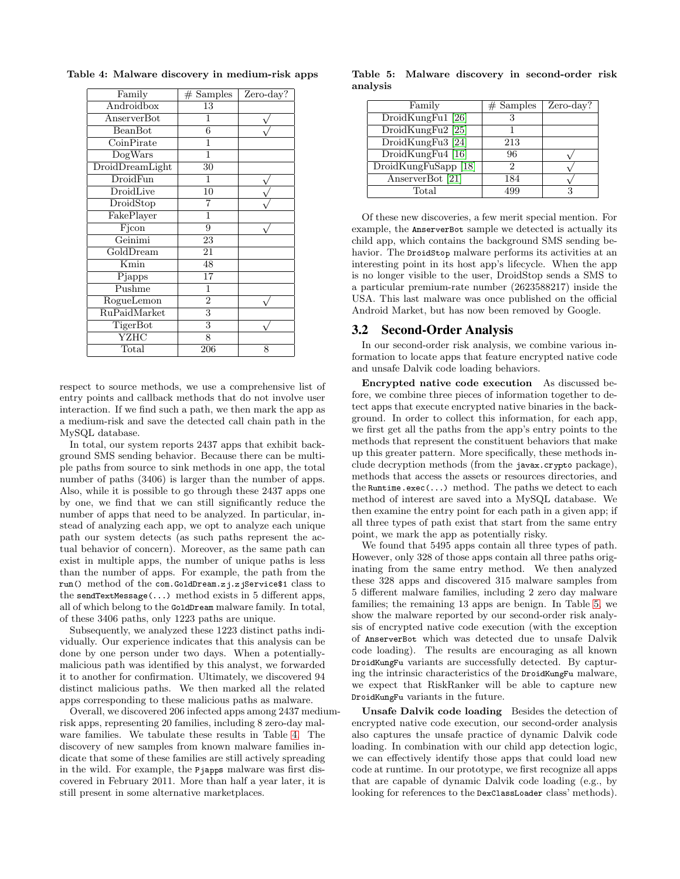| Family                   | $#$ Samples    | Zero-day? |
|--------------------------|----------------|-----------|
| Androidbox               | 13             |           |
| AnserverBot              | 1              |           |
| BeanBot                  | 6              |           |
| CoinPirate               | 1              |           |
| DogWars                  | 1              |           |
| DroidDreamLight          | 30             |           |
| DroidFun                 | 1              |           |
| DroidLive                | 10             |           |
| DroidStop                | 7              |           |
| FakePlayer               | 1              |           |
| Fjcon                    | 9              |           |
| Geinimi                  | 23             |           |
| GoldDream                | 21             |           |
| $\overline{\text{Kmin}}$ | 48             |           |
| Pjapps                   | 17             |           |
| Pushme                   | 1              |           |
| RogueLemon               | $\overline{2}$ |           |
| RuPaidMarket             | 3              |           |
| TigerBot                 | 3              |           |
| YZHC                     | 8              |           |
| Total                    | 206            | 8         |

<span id="page-7-0"></span>Table 4: Malware discovery in medium-risk apps

respect to source methods, we use a comprehensive list of entry points and callback methods that do not involve user interaction. If we find such a path, we then mark the app as a medium-risk and save the detected call chain path in the MySQL database.

In total, our system reports 2437 apps that exhibit background SMS sending behavior. Because there can be multiple paths from source to sink methods in one app, the total number of paths  $(3406)$  is larger than the number of apps. Also, while it is possible to go through these 2437 apps one by one, we find that we can still significantly reduce the number of apps that need to be analyzed. In particular, instead of analyzing each app, we opt to analyze each unique path our system detects (as such paths represent the actual behavior of concern). Moreover, as the same path can exist in multiple apps, the number of unique paths is less than the number of apps. For example, the path from the run() method of the om.GoldDream.zj.zjServi
e\$1 class to the sendTextMessage(...) method exists in 5 different apps, all of which belong to the GoldDream malware family. In total, of these 3406 paths, only 1223 paths are unique.

Subsequently, we analyzed these 1223 distinct paths individually. Our experience indicates that this analysis can be done by one person under two days. When a potentiallymalicious path was identified by this analyst, we forwarded it to another for confirmation. Ultimately, we discovered 94 distinct malicious paths. We then marked all the related apps corresponding to these malicious paths as malware.

Overall, we discovered 206 infected apps among 2437 mediumrisk apps, representing 20 families, including 8 zero-day malware families. We tabulate these results in Table [4.](#page-7-0) The discovery of new samples from known malware families indicate that some of these families are still actively spreading in the wild. For example, the Pjapps malware was first dis-code at runtime. In our prototype, we first recognize all apps covered in February 2011. More than half a year later, it is still present in some alternative marketplaces.

<span id="page-7-1"></span>Table 5: Malware discovery in second-order risk analysis

| Family               | $#$ Samples | $Zero-day?$ |
|----------------------|-------------|-------------|
| DroidKungFu1 [26]    |             |             |
| DroidKungFu2 [25]    |             |             |
| DroidKungFu3 [24]    | 213         |             |
| DroidKungFu4 [16]    | 96          |             |
| DroidKungFuSapp [18] | 2           |             |
| AnserverBot [21]     | 184         |             |
| Total                | 499         |             |

Of these new discoveries, a few merit special mention. For example, the AnserverBot sample we detected is actually its child app, which contains the background SMS sending behavior. The DroidStop malware performs its activities at an interesting point in its host app's lifecycle. When the app is no longer visible to the user, DroidStop sends a SMS to a particular premium-rate number (2623588217) inside the USA. This last malware was once published on the official Android Market, but has now been removed by Google.

#### **3.2 Second-Order Analysis**

In our second-order risk analysis, we combine various information to locate apps that feature encrypted native code and unsafe Dalvik code loading behaviors.

Encrypted native code execution As discussed before, we combine three pieces of information together to detect apps that execute encrypted native binaries in the background. In order to collect this information, for each app, we first get all the paths from the app's entry points to the methods that represent the constituent behaviors that make up this greater pattern. More specifically, these methods include decryption methods (from the javax.crypto package), methods that access the assets or resources directories, and the Runtime.exe
(...) method. The paths we detect to each method of interest are saved into a MySQL database. We then examine the entry point for each path in a given app; if all three types of path exist that start from the same entry point, we mark the app as potentially risky.

We found that 5495 apps contain all three types of path. However, only 328 of those apps contain all three paths originating from the same entry method. We then analyzed these 328 apps and discovered 315 malware samples from 5 different malware families, including 2 zero day malware families; the remaining 13 apps are benign. In Table [5,](#page-7-1) we show the malware reported by our second-order risk analysis of encrypted native code execution (with the exception of AnserverBot which was detected due to unsafe Dalvik code loading). The results are encouraging as all known DroidKungFu variants are successfully detected. By capturing the intrinsic characteristics of the DroidKungFu malware, we expect that RiskRanker will be able to capture new DroidKungFu variants in the future.

Unsafe Dalvik code loading Besides the detection of encrypted native code execution, our second-order analysis also captures the unsafe practice of dynamic Dalvik code loading. In combination with our child app detection logic, we can effectively identify those apps that could load new that are capable of dynamic Dalvik code loading (e.g., by looking for references to the DexClassLoader class' methods).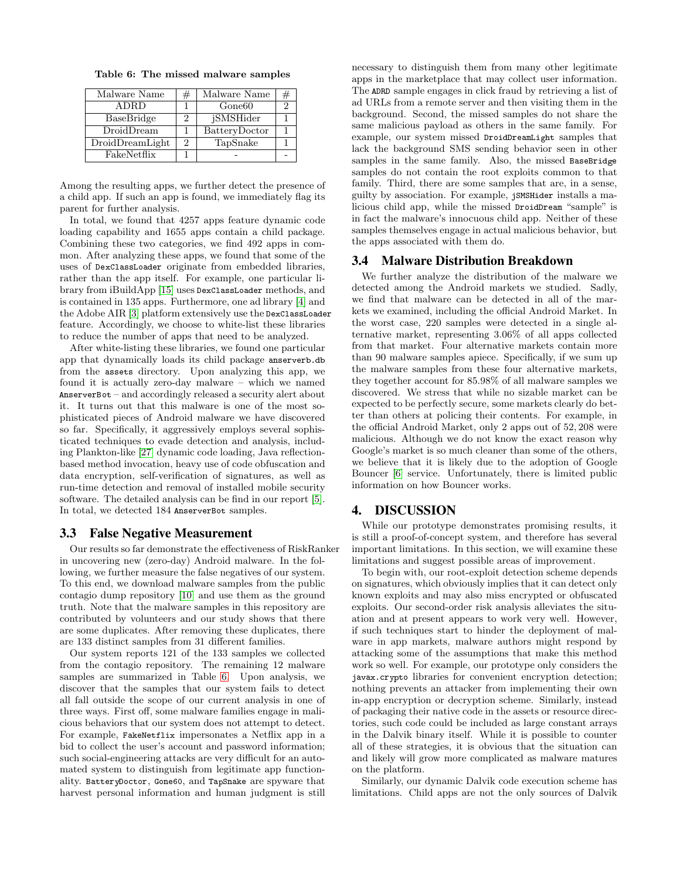Table 6: The missed malware samples

<span id="page-8-1"></span>

| Malware Name    | $_{\#}$ | Malware Name       |  |
|-----------------|---------|--------------------|--|
| ADRD            |         | Gone <sub>60</sub> |  |
| BaseBridge      |         | jSMSHider          |  |
| DroidDream      |         | BatteryDoctor      |  |
| DroidDreamLight | ')      | TapSnake           |  |
| FakeNetflix     |         |                    |  |

Among the resulting apps, we further detect the presence of a child app. If such an app is found, we immediately flag its parent for further analysis.

In total, we found that 4257 apps feature dynamic code loading capability and 1655 apps contain a child package. Combining these two categories, we find 492 apps in common. After analyzing these apps, we found that some of the mon. After analyzing these apps, we found that some of the 3.4 rather than the app itself. For example, one particular library from iBuildApp [\[15\]](#page-10-11) uses DexClassLoader methods, and is contained in 135 apps. Furthermore, one ad library [\[4\]](#page-10-12) and the Adobe AIR [\[3\]](#page-10-13) platform extensively use the DexClassLoader feature. Accordingly, we choose to white-list these libraries to reduce the number of apps that need to be analyzed.

After white-listing these libraries, we found one particular app that dynamically loads its child package anserverb.db from the assets directory. Upon analyzing this app, we found it is actually zero-day malware – which we named AnserverBot – and accordingly released a security alert about it. It turns out that this malware is one of the most sophisticated pieces of Android malware we have discovered so far. Specifically, it aggressively employs several sophisticated techniques to evade detection and analysis, including Plankton-like [\[27\]](#page-11-12) dynamic code loading, Java reflectionbased method invocation, heavy use of code obfuscation and data encryption, self-verification of signatures, as well as run-time detection and removal of installed mobile security software. The detailed analysis can be find in our report [\[5\]](#page-10-14). In total, we detected 184 AnserverBot samples.

#### **3.3 False Negative Measurement**

Our results so far demonstrate the effectiveness of RiskRanker in uncovering new (zero-day) Android malware. In the following, we further measure the false negatives of our system. To this end, we download malware samples from the public contagio dump repository [\[10\]](#page-10-15) and use them as the ground truth. Note that the malware samples in this repository are contributed by volunteers and our study shows that there are some duplicates. After removing these duplicates, there are 133 distinct samples from 31 different families.

Our system reports 121 of the 133 samples we collected from the contagio repository. The remaining 12 malware samples are summarized in Table [6.](#page-8-1) Upon analysis, we discover that the samples that our system fails to detect all fall outside the scope of our current analysis in one of three ways. First off, some malware families engage in malicious behaviors that our system does not attempt to detect. For example, FakeNetflix impersonates a Netflix app in a in the Dalvik binary itself. While it is possible to counter bid to collect the user's account and password information; such social-engineering attacks are very difficult for an automated system to distinguish from legitimate app functionality. BatteryDo
tor, Gone60, and TapSnake are spyware that harvest personal information and human judgment is still

necessary to distinguish them from many other legitimate apps in the marketplace that may collect user information. The ADRD sample engages in click fraud by retrieving a list of ad URLs from a remote server and then visiting them in the background. Second, the missed samples do not share the same malicious payload as others in the same family. For example, our system missed DroidDreamLight samples that lack the background SMS sending behavior seen in other samples in the same family. Also, the missed BaseBridge samples do not contain the root exploits common to that family. Third, there are some samples that are, in a sense, guilty by association. For example, jSMSHider installs a malicious child app, while the missed DroidDream "sample" is in fact the malware's innocuous child app. Neither of these samples themselves engage in actual malicious behavior, but the apps associated with them do.

### **3.4 Malware Distribution Breakdown**

We further analyze the distribution of the malware we detected among the Android markets we studied. Sadly, we find that malware can be detected in all of the markets we examined, including the official Android Market. In the worst case, 220 samples were detected in a single alternative market, representing 3.06% of all apps collected from that market. Four alternative markets contain more than 90 malware samples apiece. Specifically, if we sum up the malware samples from these four alternative markets, they together account for 85.98% of all malware samples we discovered. We stress that while no sizable market can be expected to be perfectly secure, some markets clearly do better than others at policing their contents. For example, in the official Android Market, only 2 apps out of 52, 208 were malicious. Although we do not know the exact reason why Google's market is so much cleaner than some of the others, we believe that it is likely due to the adoption of Google Bouncer [\[6\]](#page-10-16) service. Unfortunately, there is limited public information on how Bouncer works.

### <span id="page-8-0"></span>**4. DISCUSSION**

While our prototype demonstrates promising results, it is still a proof-of-concept system, and therefore has several important limitations. In this section, we will examine these limitations and suggest possible areas of improvement.

To begin with, our root-exploit detection scheme depends on signatures, which obviously implies that it can detect only known exploits and may also miss encrypted or obfuscated exploits. Our second-order risk analysis alleviates the situation and at present appears to work very well. However, if such techniques start to hinder the deployment of malware in app markets, malware authors might respond by attacking some of the assumptions that make this method work so well. For example, our prototype only considers the javax.
rypto libraries for convenient encryption detection; nothing prevents an attacker from implementing their own in-app encryption or decryption scheme. Similarly, instead of packaging their native code in the assets or resource directories, such code could be included as large constant arrays all of these strategies, it is obvious that the situation can and likely will grow more complicated as malware matures on the platform.

Similarly, our dynamic Dalvik code execution scheme has limitations. Child apps are not the only sources of Dalvik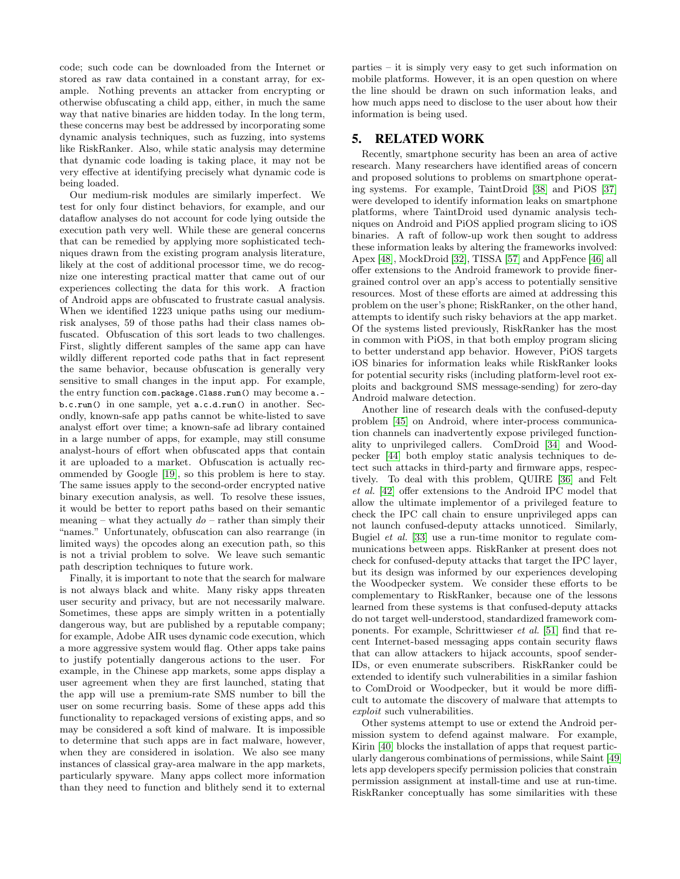code; such code can be downloaded from the Internet or stored as raw data contained in a constant array, for example. Nothing prevents an attacker from encrypting or otherwise obfuscating a child app, either, in much the same way that native binaries are hidden today. In the long term, these concerns may best be addressed by incorporating some dynamic analysis techniques, such as fuzzing, into systems like RiskRanker. Also, while static analysis may determine that dynamic code loading is taking place, it may not be very effective at identifying precisely what dynamic code is being loaded.

Our medium-risk modules are similarly imperfect. We test for only four distinct behaviors, for example, and our dataflow analyses do not account for code lying outside the execution path very well. While these are general concerns that can be remedied by applying more sophisticated techniques drawn from the existing program analysis literature, likely at the cost of additional processor time, we do recognize one interesting practical matter that came out of our experiences collecting the data for this work. A fraction of Android apps are obfuscated to frustrate casual analysis. When we identified 1223 unique paths using our mediumrisk analyses, 59 of those paths had their class names obfuscated. Obfuscation of this sort leads to two challenges. First, slightly different samples of the same app can have wildly different reported code paths that in fact represent the same behavior, because obfuscation is generally very sensitive to small changes in the input app. For example, the entry function om.pa
kage.Class.run() may become a. b.
.run() in one sample, yet a.
.d.run() in another. Secondly, known-safe app paths cannot be white-listed to save analyst effort over time; a known-safe ad library contained in a large number of apps, for example, may still consume analyst-hours of effort when obfuscated apps that contain it are uploaded to a market. Obfuscation is actually recommended by Google [\[19\]](#page-11-13), so this problem is here to stay. The same issues apply to the second-order encrypted native binary execution analysis, as well. To resolve these issues, it would be better to report paths based on their semantic meaning – what they actually  $d\theta$  – rather than simply their "names." Unfortunately, obfuscation can also rearrange (in limited ways) the opcodes along an execution path, so this is not a trivial problem to solve. We leave such semantic path description techniques to future work.

Finally, it is important to note that the search for malware is not always black and white. Many risky apps threaten user security and privacy, but are not necessarily malware. Sometimes, these apps are simply written in a potentially dangerous way, but are published by a reputable company; for example, Adobe AIR uses dynamic code execution, which a more aggressive system would flag. Other apps take pains to justify potentially dangerous actions to the user. For example, in the Chinese app markets, some apps display a user agreement when they are first launched, stating that the app will use a premium-rate SMS number to bill the user on some recurring basis. Some of these apps add this functionality to repackaged versions of existing apps, and so may be considered a soft kind of malware. It is impossible to determine that such apps are in fact malware, however, when they are considered in isolation. We also see many instances of classical gray-area malware in the app markets, particularly spyware. Many apps collect more information than they need to function and blithely send it to external

parties – it is simply very easy to get such information on mobile platforms. However, it is an open question on where the line should be drawn on such information leaks, and how much apps need to disclose to the user about how their information is being used.

## <span id="page-9-0"></span>**5. RELATED WORK**

Recently, smartphone security has been an area of active research. Many researchers have identified areas of concern and proposed solutions to problems on smartphone operating systems. For example, TaintDroid [\[38\]](#page-11-14) and PiOS [\[37\]](#page-11-15) were developed to identify information leaks on smartphone platforms, where TaintDroid used dynamic analysis techniques on Android and PiOS applied program slicing to iOS binaries. A raft of follow-up work then sought to address these information leaks by altering the frameworks involved: Apex [\[48\]](#page-12-2), MockDroid [\[32\]](#page-11-16), TISSA [\[57\]](#page-12-3) and AppFence [\[46\]](#page-11-17) all offer extensions to the Android framework to provide finergrained control over an app's access to potentially sensitive resources. Most of these efforts are aimed at addressing this problem on the user's phone; RiskRanker, on the other hand, attempts to identify such risky behaviors at the app market. Of the systems listed previously, RiskRanker has the most in common with PiOS, in that both employ program slicing to better understand app behavior. However, PiOS targets iOS binaries for information leaks while RiskRanker looks for potential security risks (including platform-level root exploits and background SMS message-sending) for zero-day Android malware detection.

Another line of research deals with the confused-deputy problem [\[45\]](#page-11-18) on Android, where inter-process communication channels can inadvertently expose privileged functionality to unprivileged callers. ComDroid [\[34\]](#page-11-19) and Woodpecker [\[44\]](#page-11-20) both employ static analysis techniques to detect such attacks in third-party and firmware apps, respectively. To deal with this problem, QUIRE [\[36\]](#page-11-21) and Felt et al. [\[42\]](#page-11-22) offer extensions to the Android IPC model that allow the ultimate implementor of a privileged feature to check the IPC call chain to ensure unprivileged apps can not launch confused-deputy attacks unnoticed. Similarly, Bugiel et al. [\[33\]](#page-11-23) use a run-time monitor to regulate communications between apps. RiskRanker at present does not check for confused-deputy attacks that target the IPC layer, but its design was informed by our experiences developing the Woodpecker system. We consider these efforts to be complementary to RiskRanker, because one of the lessons learned from these systems is that confused-deputy attacks do not target well-understood, standardized framework components. For example, Schrittwieser et al. [\[51\]](#page-12-4) find that recent Internet-based messaging apps contain security flaws that can allow attackers to hijack accounts, spoof sender-IDs, or even enumerate subscribers. RiskRanker could be extended to identify such vulnerabilities in a similar fashion to ComDroid or Woodpecker, but it would be more difficult to automate the discovery of malware that attempts to exploit such vulnerabilities.

Other systems attempt to use or extend the Android permission system to defend against malware. For example, Kirin [\[40\]](#page-11-24) blocks the installation of apps that request particularly dangerous combinations of permissions, while Saint [\[49\]](#page-12-5) lets app developers specify permission policies that constrain permission assignment at install-time and use at run-time. RiskRanker conceptually has some similarities with these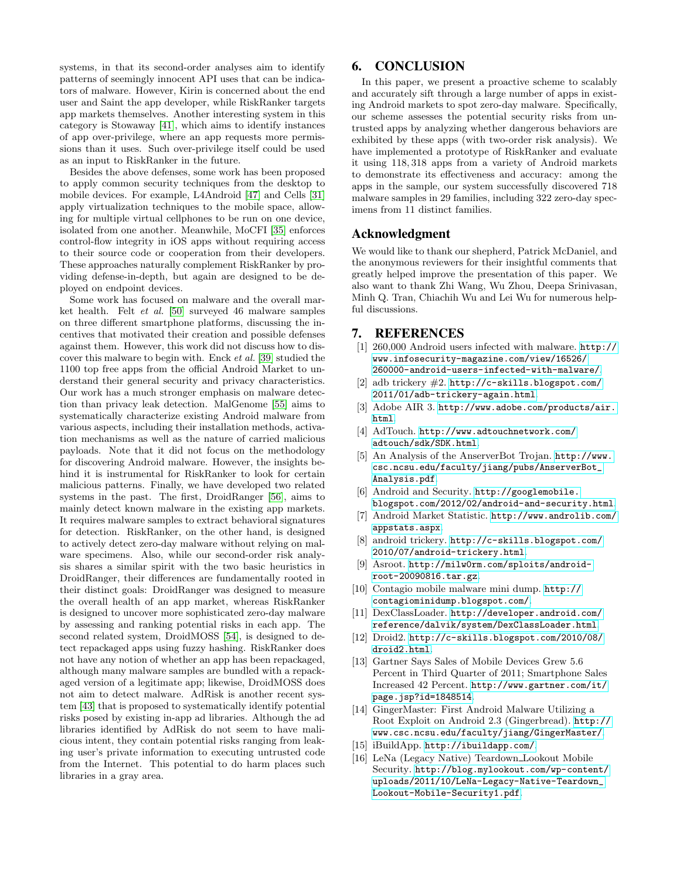systems, in that its second-order analyses aim to identify patterns of seemingly innocent API uses that can be indicators of malware. However, Kirin is concerned about the end user and Saint the app developer, while RiskRanker targets app markets themselves. Another interesting system in this category is Stowaway [\[41\]](#page-11-25), which aims to identify instances of app over-privilege, where an app requests more permissions than it uses. Such over-privilege itself could be used as an input to RiskRanker in the future.

Besides the above defenses, some work has been proposed to apply common security techniques from the desktop to mobile devices. For example, L4Android [\[47\]](#page-11-26) and Cells [\[31\]](#page-11-27) apply virtualization techniques to the mobile space, allowing for multiple virtual cellphones to be run on one device, isolated from one another. Meanwhile, MoCFI [\[35\]](#page-11-28) enforces control-flow integrity in iOS apps without requiring access to their source code or cooperation from their developers. These approaches naturally complement RiskRanker by providing defense-in-depth, but again are designed to be deployed on endpoint devices.

Some work has focused on malware and the overall market health. Felt et al. [\[50\]](#page-12-6) surveyed 46 malware samples on three different smartphone platforms, discussing the incentives that motivated their creation and possible defenses against them. However, this work did not discuss how to discover this malware to begin with. Enck et al. [\[39\]](#page-11-29) studied the 1100 top free apps from the official Android Market to understand their general security and privacy characteristics. Our work has a much stronger emphasis on malware detection than privacy leak detection. MalGenome [\[55\]](#page-12-7) aims to systematically characterize existing Android malware from various aspects, including their installation methods, activation mechanisms as well as the nature of carried malicious payloads. Note that it did not focus on the methodology for discovering Android malware. However, the insights behind it is instrumental for RiskRanker to look for certain malicious patterns. Finally, we have developed two related systems in the past. The first, DroidRanger [\[56\]](#page-12-8), aims to mainly detect known malware in the existing app markets. It requires malware samples to extract behavioral signatures for detection. RiskRanker, on the other hand, is designed to actively detect zero-day malware without relying on malware specimens. Also, while our second-order risk analysis shares a similar spirit with the two basic heuristics in DroidRanger, their differences are fundamentally rooted in their distinct goals: DroidRanger was designed to measure the overall health of an app market, whereas RiskRanker is designed to uncover more sophisticated zero-day malware by assessing and ranking potential risks in each app. The second related system, DroidMOSS [\[54\]](#page-12-9), is designed to detect repackaged apps using fuzzy hashing. RiskRanker does not have any notion of whether an app has been repackaged, although many malware samples are bundled with a repackaged version of a legitimate app; likewise, DroidMOSS does not aim to detect malware. AdRisk is another recent system [\[43\]](#page-11-30) that is proposed to systematically identify potential risks posed by existing in-app ad libraries. Although the ad libraries identified by AdRisk do not seem to have malicious intent, they contain potential risks ranging from leaking user's private information to executing untrusted code from the Internet. This potential to do harm places such libraries in a gray area.

# <span id="page-10-3"></span>**6. CONCLUSION**

In this paper, we present a proactive scheme to scalably and accurately sift through a large number of apps in existing Android markets to spot zero-day malware. Specifically, our scheme assesses the potential security risks from untrusted apps by analyzing whether dangerous behaviors are exhibited by these apps (with two-order risk analysis). We have implemented a prototype of RiskRanker and evaluate it using 118, 318 apps from a variety of Android markets to demonstrate its effectiveness and accuracy: among the apps in the sample, our system successfully discovered 718 malware samples in 29 families, including 322 zero-day specimens from 11 distinct families.

### **Acknowledgment**

We would like to thank our shepherd, Patrick McDaniel, and the anonymous reviewers for their insightful comments that greatly helped improve the presentation of this paper. We also want to thank Zhi Wang, Wu Zhou, Deepa Srinivasan, Minh Q. Tran, Chiachih Wu and Lei Wu for numerous helpful discussions.

### <span id="page-10-1"></span>**7. REFERENCES**

- [1] 260,000 Android users infected with malware. [http://](http://www.infosecurity-magazine.com/view/16526/260000-android-users-infected-with-malware/) [www.infosecurity-magazine.com/view/16526/](http://www.infosecurity-magazine.com/view/16526/260000-android-users-infected-with-malware/) [260000-android-users-infected-with-malware/](http://www.infosecurity-magazine.com/view/16526/260000-android-users-infected-with-malware/).
- <span id="page-10-6"></span>[2] adb trickery #2. [http://c-skills.blogspot.com/](http://c-skills.blogspot.com/2011/01/adb-trickery-again.html) [2011/01/adb-trickery-again.html](http://c-skills.blogspot.com/2011/01/adb-trickery-again.html).
- <span id="page-10-13"></span><span id="page-10-12"></span>[3] Adobe AIR 3. [http://www.adobe.com/products/air.](http://www.adobe.com/products/air.html) [html](http://www.adobe.com/products/air.html).
- [4] AdTouch. [http://www.adtouchnetwork.com/](http://www.adtouchnetwork.com/adtouch/sdk/SDK.html) [adtouch/sdk/SDK.html](http://www.adtouchnetwork.com/adtouch/sdk/SDK.html).
- <span id="page-10-14"></span>[5] An Analysis of the AnserverBot Trojan. [http://www.](http://www.csc.ncsu.edu/faculty/jiang/pubs/AnserverBot_Analysis.pdf) [csc.ncsu.edu/faculty/jiang/pubs/AnserverBot\\_](http://www.csc.ncsu.edu/faculty/jiang/pubs/AnserverBot_Analysis.pdf) [Analysis.pdf](http://www.csc.ncsu.edu/faculty/jiang/pubs/AnserverBot_Analysis.pdf).
- <span id="page-10-16"></span>[6] Android and Security. [http://googlemobile.](http://googlemobile.blogspot.com/2012/02/android-and-security.html) [blogspot.com/2012/02/android-and-security.html](http://googlemobile.blogspot.com/2012/02/android-and-security.html).
- <span id="page-10-2"></span>[7] Android Market Statistic. [http://www.androlib.com/](http://www.androlib.com/appstats.aspx) [appstats.aspx](http://www.androlib.com/appstats.aspx).
- <span id="page-10-5"></span>[8] android trickery. [http://c-skills.blogspot.com/](http://c-skills.blogspot.com/2010/07/android-trickery.html) [2010/07/android-trickery.html](http://c-skills.blogspot.com/2010/07/android-trickery.html).
- <span id="page-10-4"></span>[9] Asroot. [http://milw0rm.com/sploits/android](http://milw0rm.com/sploits/android-root-20090816.tar.gz)[root-20090816.tar.gz](http://milw0rm.com/sploits/android-root-20090816.tar.gz).
- <span id="page-10-15"></span>[10] Contagio mobile malware mini dump. [http://](http://contagiominidump.blog spot.com/) [contagiominidump.blogspot.com/](http://contagiominidump.blog spot.com/).
- <span id="page-10-8"></span><span id="page-10-7"></span>[11] DexClassLoader. [http://developer.android.com/](http://developer.android.com/reference/dalvik/system/DexClassLoader.html) [reference/dalvik/system/DexClassLoader.html](http://developer.android.com/reference/dalvik/system/DexClassLoader.html).
- [12] Droid2. [http://c-skills.blogspot.com/2010/08/](http://c-skills.blogspot.com/2010/08/droid2.html) [droid2.html](http://c-skills.blogspot.com/2010/08/droid2.html).
- <span id="page-10-0"></span>[13] Gartner Says Sales of Mobile Devices Grew 5.6 Percent in Third Quarter of 2011; Smartphone Sales Increased 42 Percent. [http://www.gartner.com/it/](http://www.gartner.com/it/page.jsp?id=1848514) [page.jsp?id=1848514](http://www.gartner.com/it/page.jsp?id=1848514).
- <span id="page-10-9"></span>[14] GingerMaster: First Android Malware Utilizing a Root Exploit on Android 2.3 (Gingerbread). [http://](http://www.csc.ncsu.edu/faculty/jiang/GingerMaster/) [www.csc.ncsu.edu/faculty/jiang/GingerMaster/](http://www.csc.ncsu.edu/faculty/jiang/GingerMaster/).
- <span id="page-10-11"></span>[15] iBuildApp. <http://ibuildapp.com/>.
- <span id="page-10-10"></span>[16] LeNa (Legacy Native) Teardown Lookout Mobile Security. [http://blog.mylookout.com/wp-content/](http://blog.mylookout.com/wp-content/uploads/2011/10/LeNa-Legacy-Native-Teardown_Lookout-Mobile-Security1.pdf) [uploads/2011/10/LeNa-Legacy-Native-Teardown\\_](http://blog.mylookout.com/wp-content/uploads/2011/10/LeNa-Legacy-Native-Teardown_Lookout-Mobile-Security1.pdf) [Lookout-Mobile-Security1.pdf](http://blog.mylookout.com/wp-content/uploads/2011/10/LeNa-Legacy-Native-Teardown_Lookout-Mobile-Security1.pdf).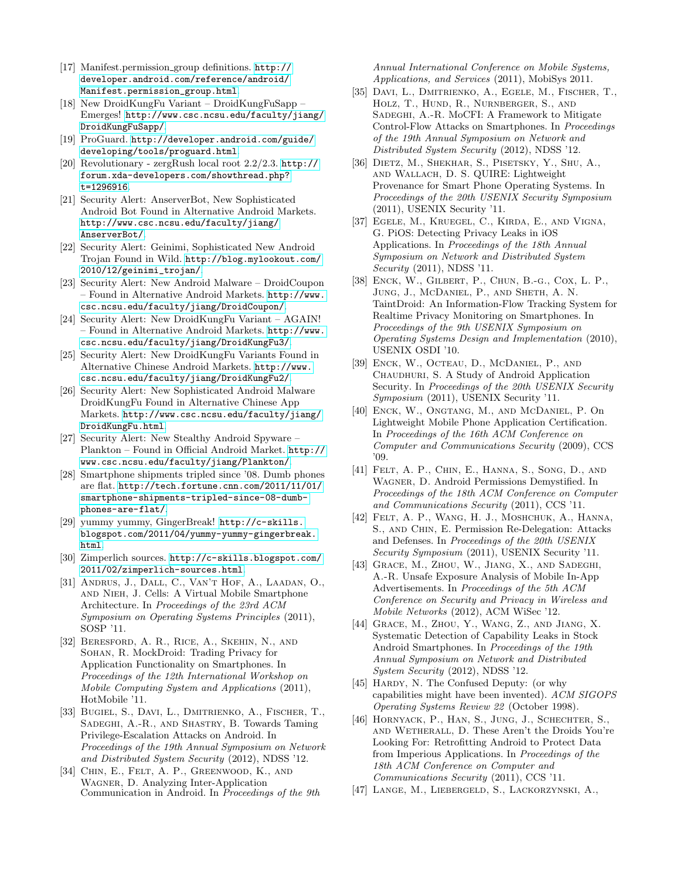- <span id="page-11-4"></span>[17] Manifest.permission group definitions. [http://](http://developer.android.com/reference/android/Manifest.permission_group.html) [developer.android.com/reference/android/](http://developer.android.com/reference/android/Manifest.permission_group.html) [Manifest.permission\\_group.html](http://developer.android.com/reference/android/Manifest.permission_group.html).
- <span id="page-11-11"></span>[18] New DroidKungFu Variant – DroidKungFuSapp – Emerges! [http://www.csc.ncsu.edu/faculty/jiang/](http://www.csc.ncsu.edu/faculty/jiang/DroidKungFuSapp/) [DroidKungFuSapp/](http://www.csc.ncsu.edu/faculty/jiang/DroidKungFuSapp/).
- <span id="page-11-13"></span>[19] ProGuard. [http://developer.android.com/guide/](http://developer.android.com/guide/developing/tools/proguard.html) [developing/tools/proguard.html](http://developer.android.com/guide/developing/tools/proguard.html).
- <span id="page-11-3"></span>[20] Revolutionary - zergRush local root 2.2/2.3. [http://](http://forum.xda-developers.com/showthread.php?t=1296916) [forum.xda-developers.com/showthread.php?](http://forum.xda-developers.com/showthread.php?t=1296916) [t=1296916](http://forum.xda-developers.com/showthread.php?t=1296916).
- <span id="page-11-5"></span>[21] Security Alert: AnserverBot, New Sophisticated Android Bot Found in Alternative Android Markets. [http://www.csc.ncsu.edu/faculty/jiang/](http://www.csc.ncsu.edu/faculty/jiang/AnserverBot/) [AnserverBot/](http://www.csc.ncsu.edu/faculty/jiang/AnserverBot/).
- <span id="page-11-7"></span>[22] Security Alert: Geinimi, Sophisticated New Android Trojan Found in Wild. [http://blog.mylookout.com/](http://blog.mylookout.com/2010/12/geinimi_trojan/) [2010/12/geinimi\\_trojan/](http://blog.mylookout.com/2010/12/geinimi_trojan/).
- <span id="page-11-6"></span>[23] Security Alert: New Android Malware – DroidCoupon – Found in Alternative Android Markets. [http://www.](http://www.csc.ncsu.edu/faculty/jiang/DroidCoupon/) [csc.ncsu.edu/faculty/jiang/DroidCoupon/](http://www.csc.ncsu.edu/faculty/jiang/DroidCoupon/).
- <span id="page-11-10"></span>[24] Security Alert: New DroidKungFu Variant – AGAIN! – Found in Alternative Android Markets. [http://www.](http://www.csc.ncsu.edu/faculty/jiang/DroidKungFu3/) [csc.ncsu.edu/faculty/jiang/DroidKungFu3/](http://www.csc.ncsu.edu/faculty/jiang/DroidKungFu3/).
- <span id="page-11-9"></span>[25] Security Alert: New DroidKungFu Variants Found in Alternative Chinese Android Markets. [http://www.](http://www.csc.ncsu.edu/faculty/jiang/DroidKungFu2/) [csc.ncsu.edu/faculty/jiang/DroidKungFu2/](http://www.csc.ncsu.edu/faculty/jiang/DroidKungFu2/).
- <span id="page-11-8"></span>[26] Security Alert: New Sophisticated Android Malware DroidKungFu Found in Alternative Chinese App Markets. [http://www.csc.ncsu.edu/faculty/jiang/](http://www.csc.ncsu.edu/faculty/jiang/DroidKungFu.html) [DroidKungFu.html](http://www.csc.ncsu.edu/faculty/jiang/DroidKungFu.html).
- <span id="page-11-12"></span>[27] Security Alert: New Stealthy Android Spyware – Plankton – Found in Official Android Market. [http://](http://www.csc.ncsu.edu/faculty/jiang/Plankton/) [www.csc.ncsu.edu/faculty/jiang/Plankton/](http://www.csc.ncsu.edu/faculty/jiang/Plankton/).
- <span id="page-11-0"></span>[28] Smartphone shipments tripled since '08. Dumb phones are flat. [http://tech.fortune.cnn.com/2011/11/01/](http://tech.fortune.cnn.com/2011/11/01/smartphone-shipments-tripled-since-08-dumb-phones-are-flat/) [smartphone-shipments-tripled-since-08-dumb](http://tech.fortune.cnn.com/2011/11/01/smartphone-shipments-tripled-since-08-dumb-phones-are-flat/)[phones-are-flat/](http://tech.fortune.cnn.com/2011/11/01/smartphone-shipments-tripled-since-08-dumb-phones-are-flat/).
- <span id="page-11-1"></span>[29] yummy yummy, GingerBreak! [http://c-skills.](http://c-skills.blogspot.com/2011/04/yummy-yummy-gingerbreak.html) [blogspot.com/2011/04/yummy-yummy-gingerbreak.](http://c-skills.blogspot.com/2011/04/yummy-yummy-gingerbreak.html) [html](http://c-skills.blogspot.com/2011/04/yummy-yummy-gingerbreak.html).
- <span id="page-11-2"></span>[30] Zimperlich sources. [http://c-skills.blogspot.com/](http://c-skills.blogspot.com/2011/02/zimperlich-sources.html) [2011/02/zimperlich-sources.html](http://c-skills.blogspot.com/2011/02/zimperlich-sources.html).
- <span id="page-11-27"></span>[31] Andrus, J., Dall, C., Van't Hof, A., Laadan, O., and Nieh, J. Cells: A Virtual Mobile Smartphone Architecture. In Proceedings of the 23rd ACM Symposium on Operating Systems Principles (2011), SOSP '11.
- <span id="page-11-16"></span>[32] Beresford, A. R., Rice, A., Skehin, N., and Sohan, R. MockDroid: Trading Privacy for Application Functionality on Smartphones. In Proceedings of the 12th International Workshop on Mobile Computing System and Applications (2011), HotMobile '11.
- <span id="page-11-23"></span>[33] Bugiel, S., Davi, L., Dmitrienko, A., Fischer, T., Sadeghi, A.-R., and Shastry, B. Towards Taming Privilege-Escalation Attacks on Android. In Proceedings of the 19th Annual Symposium on Network and Distributed System Security (2012), NDSS '12.
- <span id="page-11-19"></span>[34] Chin, E., Felt, A. P., Greenwood, K., and WAGNER, D. Analyzing Inter-Application Communication in Android. In Proceedings of the 9th

Annual International Conference on Mobile Systems, Applications, and Services (2011), MobiSys 2011.

- <span id="page-11-28"></span>[35] Davi, L., Dmitrienko, A., Egele, M., Fischer, T., Holz, T., Hund, R., Nurnberger, S., and Sadeghi, A.-R. MoCFI: A Framework to Mitigate Control-Flow Attacks on Smartphones. In Proceedings of the 19th Annual Symposium on Network and Distributed System Security (2012), NDSS '12.
- <span id="page-11-21"></span>[36] Dietz, M., Shekhar, S., Pisetsky, Y., Shu, A., and Wallach, D. S. QUIRE: Lightweight Provenance for Smart Phone Operating Systems. In Proceedings of the 20th USENIX Security Symposium (2011), USENIX Security '11.
- <span id="page-11-15"></span>[37] Egele, M., Kruegel, C., Kirda, E., and Vigna, G. PiOS: Detecting Privacy Leaks in iOS Applications. In Proceedings of the 18th Annual Symposium on Network and Distributed System Security (2011), NDSS '11.
- <span id="page-11-14"></span>[38] Enck, W., Gilbert, P., Chun, B.-g., Cox, L. P., Jung, J., McDaniel, P., and Sheth, A. N. TaintDroid: An Information-Flow Tracking System for Realtime Privacy Monitoring on Smartphones. In Proceedings of the 9th USENIX Symposium on Operating Systems Design and Implementation (2010), USENIX OSDI '10.
- <span id="page-11-29"></span>[39] Enck, W., Octeau, D., McDaniel, P., and Chaudhuri, S. A Study of Android Application Security. In Proceedings of the 20th USENIX Security Symposium (2011), USENIX Security '11.
- <span id="page-11-24"></span>[40] Enck, W., Ongtang, M., and McDaniel, P. On Lightweight Mobile Phone Application Certification. In Proceedings of the 16th ACM Conference on Computer and Communications Security (2009), CCS '09.
- <span id="page-11-25"></span>[41] Felt, A. P., Chin, E., Hanna, S., Song, D., and Wagner, D. Android Permissions Demystified. In Proceedings of the 18th ACM Conference on Computer and Communications Security (2011), CCS '11.
- <span id="page-11-22"></span>[42] Felt, A. P., Wang, H. J., Moshchuk, A., Hanna, S., and Chin, E. Permission Re-Delegation: Attacks and Defenses. In Proceedings of the 20th USENIX Security Symposium (2011), USENIX Security '11.
- <span id="page-11-30"></span>[43] GRACE, M., ZHOU, W., JIANG, X., AND SADEGHI, A.-R. Unsafe Exposure Analysis of Mobile In-App Advertisements. In Proceedings of the 5th ACM Conference on Security and Privacy in Wireless and Mobile Networks (2012), ACM WiSec '12.
- <span id="page-11-20"></span>[44] Grace, M., Zhou, Y., Wang, Z., and Jiang, X. Systematic Detection of Capability Leaks in Stock Android Smartphones. In Proceedings of the 19th Annual Symposium on Network and Distributed System Security (2012), NDSS '12.
- <span id="page-11-18"></span>[45] HARDY, N. The Confused Deputy: (or why capabilities might have been invented). ACM SIGOPS Operating Systems Review 22 (October 1998).
- <span id="page-11-17"></span>[46] HORNYACK, P., HAN, S., JUNG, J., SCHECHTER, S., and Wetherall, D. These Aren't the Droids You're Looking For: Retrofitting Android to Protect Data from Imperious Applications. In Proceedings of the 18th ACM Conference on Computer and Communications Security (2011), CCS '11.
- <span id="page-11-26"></span>[47] Lange, M., Liebergeld, S., Lackorzynski, A.,